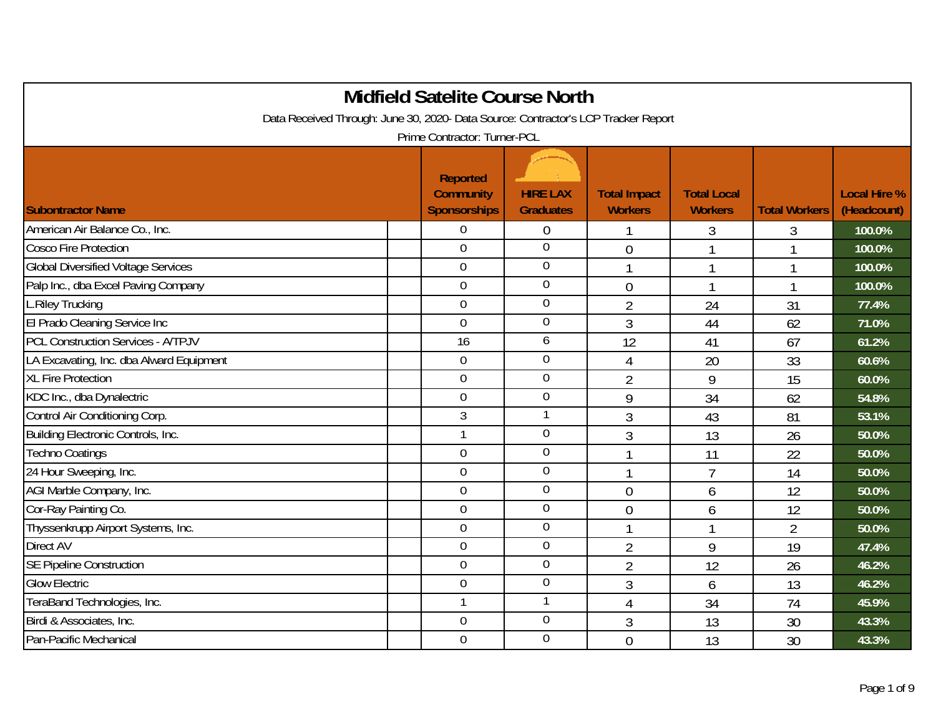|                                                                                    |  | <b>Midfield Satelite Course North</b> |                  |                     |                    |                          |                     |  |  |
|------------------------------------------------------------------------------------|--|---------------------------------------|------------------|---------------------|--------------------|--------------------------|---------------------|--|--|
| Data Received Through: June 30, 2020- Data Source: Contractor's LCP Tracker Report |  |                                       |                  |                     |                    |                          |                     |  |  |
| Prime Contractor: Turner-PCL                                                       |  |                                       |                  |                     |                    |                          |                     |  |  |
|                                                                                    |  | Reported<br><b>Community</b>          | <b>HIRE LAX</b>  | <b>Total Impact</b> | <b>Total Local</b> |                          | <b>Local Hire %</b> |  |  |
| <b>Subontractor Name</b>                                                           |  | <b>Sponsorships</b>                   | <b>Graduates</b> | <b>Workers</b>      | <b>Workers</b>     | <b>Total Workers</b>     | (Headcount)         |  |  |
| American Air Balance Co., Inc.                                                     |  | $\Omega$                              | 0                | 1                   | 3                  | 3                        | 100.0%              |  |  |
| <b>Cosco Fire Protection</b>                                                       |  | $\overline{0}$                        | $\overline{0}$   | $\overline{0}$      |                    | $\overline{\phantom{a}}$ | 100.0%              |  |  |
| <b>Global Diversified Voltage Services</b>                                         |  | $\mathbf 0$                           | $\boldsymbol{0}$ |                     |                    | -1                       | 100.0%              |  |  |
| Palp Inc., dba Excel Paving Company                                                |  | $\mathbf 0$                           | $\overline{0}$   | $\overline{0}$      | 1                  | $\mathbf{1}$             | 100.0%              |  |  |
| L.Riley Trucking                                                                   |  | $\mathbf 0$                           | $\overline{0}$   | $\overline{2}$      | 24                 | 31                       | 77.4%               |  |  |
| El Prado Cleaning Service Inc                                                      |  | $\mathbf 0$                           | $\mathbf 0$      | 3                   | 44                 | 62                       | 71.0%               |  |  |
| <b>PCL Construction Services - A/TPJV</b>                                          |  | 16                                    | 6                | 12                  | 41                 | 67                       | 61.2%               |  |  |
| LA Excavating, Inc. dba Alward Equipment                                           |  | $\boldsymbol{0}$                      | $\mathbf 0$      | 4                   | 20                 | 33                       | 60.6%               |  |  |
| <b>XL Fire Protection</b>                                                          |  | $\overline{0}$                        | $\overline{0}$   | $\overline{2}$      | 9                  | 15                       | 60.0%               |  |  |
| KDC Inc., dba Dynalectric                                                          |  | $\overline{0}$                        | $\mathbf 0$      | 9                   | 34                 | 62                       | 54.8%               |  |  |
| Control Air Conditioning Corp.                                                     |  | $\mathfrak{Z}$                        | $\mathbf{1}$     | 3                   | 43                 | 81                       | 53.1%               |  |  |
| Building Electronic Controls, Inc.                                                 |  |                                       | $\mathbf 0$      | 3                   | 13                 | 26                       | 50.0%               |  |  |
| <b>Techno Coatings</b>                                                             |  | $\overline{0}$                        | $\overline{0}$   | $\mathbf{1}$        | 11                 | 22                       | 50.0%               |  |  |
| 24 Hour Sweeping, Inc.                                                             |  | $\overline{0}$                        | $\overline{0}$   |                     | $\overline{7}$     | 14                       | 50.0%               |  |  |
| AGI Marble Company, Inc.                                                           |  | $\overline{0}$                        | $\mathbf 0$      | $\mathbf 0$         | 6                  | 12                       | 50.0%               |  |  |
| Cor-Ray Painting Co.                                                               |  | $\overline{0}$                        | $\overline{0}$   | $\overline{0}$      | 6                  | 12                       | 50.0%               |  |  |
| Thyssenkrupp Airport Systems, Inc.                                                 |  | $\mathbf 0$                           | $\mathbf 0$      | $\mathbf{1}$        | $\mathbf{1}$       | $\overline{2}$           | 50.0%               |  |  |
| <b>Direct AV</b>                                                                   |  | $\overline{0}$                        | $\overline{0}$   | $\overline{2}$      | 9                  | 19                       | 47.4%               |  |  |
| <b>SE Pipeline Construction</b>                                                    |  | $\overline{0}$                        | $\mathbf 0$      | $\overline{2}$      | 12                 | 26                       | 46.2%               |  |  |
| <b>Glow Electric</b>                                                               |  | $\overline{0}$                        | $\mathbf 0$      | 3                   | 6                  | 13                       | 46.2%               |  |  |
| TeraBand Technologies, Inc.                                                        |  | $\mathbf{1}$                          |                  | 4                   | 34                 | 74                       | 45.9%               |  |  |
| Birdi & Associates, Inc.                                                           |  | $\mathbf 0$                           | $\mathbf 0$      | 3                   | 13                 | 30                       | 43.3%               |  |  |
| Pan-Pacific Mechanical                                                             |  | $\mathbf 0$                           | $\mathbf 0$      | $\overline{0}$      | 13                 | 30                       | 43.3%               |  |  |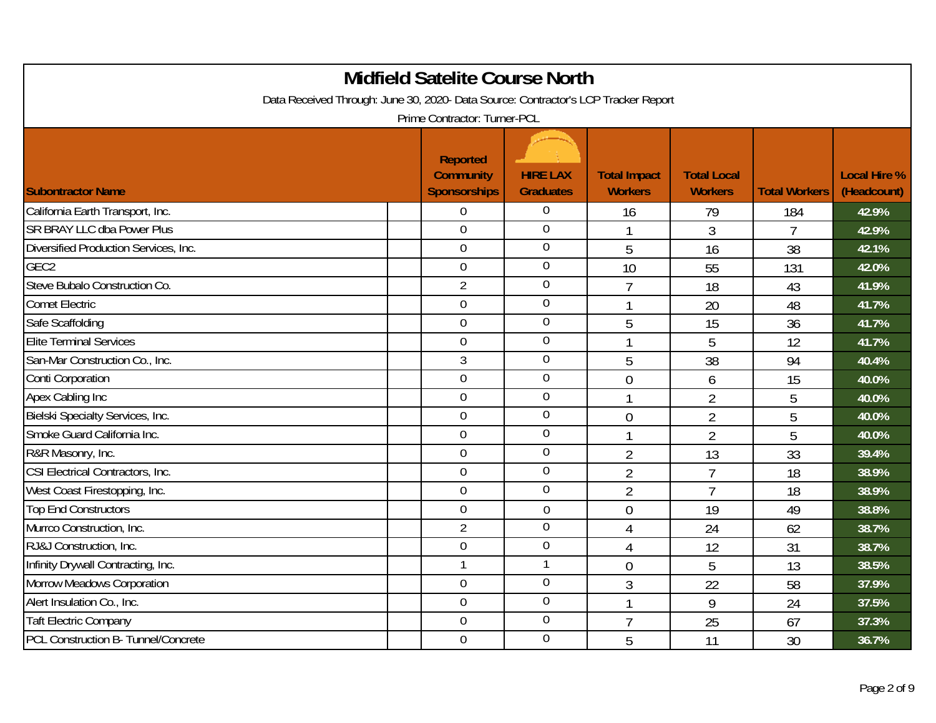| <b>Midfield Satelite Course North</b><br>Data Received Through: June 30, 2020- Data Source: Contractor's LCP Tracker Report<br>Prime Contractor: Turner-PCL |  |                                                     |                                     |                                       |                                      |                      |                                    |  |  |
|-------------------------------------------------------------------------------------------------------------------------------------------------------------|--|-----------------------------------------------------|-------------------------------------|---------------------------------------|--------------------------------------|----------------------|------------------------------------|--|--|
| <b>Subontractor Name</b>                                                                                                                                    |  | Reported<br><b>Community</b><br><b>Sponsorships</b> | <b>HIRE LAX</b><br><b>Graduates</b> | <b>Total Impact</b><br><b>Workers</b> | <b>Total Local</b><br><b>Workers</b> | <b>Total Workers</b> | <b>Local Hire %</b><br>(Headcount) |  |  |
| California Earth Transport, Inc.                                                                                                                            |  | 0                                                   | $\overline{0}$                      | 16                                    | 79                                   | 184                  | 42.9%                              |  |  |
| <b>SR BRAY LLC dba Power Plus</b>                                                                                                                           |  | $\overline{0}$                                      | $\mathbf 0$                         | 1                                     | 3                                    | $\overline{7}$       | 42.9%                              |  |  |
| Diversified Production Services, Inc.                                                                                                                       |  | $\mathbf 0$                                         | $\mathbf 0$                         | 5                                     | 16                                   | 38                   | 42.1%                              |  |  |
| GEC <sub>2</sub>                                                                                                                                            |  | $\mathbf 0$                                         | $\boldsymbol{0}$                    | 10                                    | 55                                   | 131                  | 42.0%                              |  |  |
| Steve Bubalo Construction Co.                                                                                                                               |  | $\overline{2}$                                      | $\boldsymbol{0}$                    | $\overline{7}$                        | 18                                   | 43                   | 41.9%                              |  |  |
| <b>Comet Electric</b>                                                                                                                                       |  | $\overline{0}$                                      | $\overline{0}$                      | 1                                     | 20                                   | 48                   | 41.7%                              |  |  |
| Safe Scaffolding                                                                                                                                            |  | $\mathbf 0$                                         | $\mathbf 0$                         | 5                                     | 15                                   | 36                   | 41.7%                              |  |  |
| <b>Elite Terminal Services</b>                                                                                                                              |  | $\overline{0}$                                      | $\mathbf 0$                         | 1                                     | 5                                    | 12                   | 41.7%                              |  |  |
| San-Mar Construction Co., Inc.                                                                                                                              |  | $\mathfrak{Z}$                                      | $\overline{0}$                      | 5                                     | 38                                   | 94                   | 40.4%                              |  |  |
| Conti Corporation                                                                                                                                           |  | $\mathbf 0$                                         | $\mathbf 0$                         | $\overline{0}$                        | 6                                    | 15                   | 40.0%                              |  |  |
| Apex Cabling Inc                                                                                                                                            |  | $\overline{0}$                                      | $\mathbf 0$                         | $\mathbf{1}$                          | $\overline{2}$                       | 5                    | 40.0%                              |  |  |
| Bielski Specialty Services, Inc.                                                                                                                            |  | $\mathbf 0$                                         | $\overline{0}$                      | $\overline{0}$                        | $\overline{2}$                       | 5                    | 40.0%                              |  |  |
| Smoke Guard California Inc.                                                                                                                                 |  | $\overline{0}$                                      | $\mathbf 0$                         | 1                                     | $\overline{2}$                       | 5                    | 40.0%                              |  |  |
| R&R Masonry, Inc.                                                                                                                                           |  | $\mathbf 0$                                         | $\boldsymbol{0}$                    | $\overline{2}$                        | 13                                   | 33                   | 39.4%                              |  |  |
| CSI Electrical Contractors, Inc.                                                                                                                            |  | $\overline{0}$                                      | $\boldsymbol{0}$                    | $\overline{2}$                        | $\overline{7}$                       | 18                   | 38.9%                              |  |  |
| West Coast Firestopping, Inc.                                                                                                                               |  | $\mathbf 0$                                         | $\overline{0}$                      | $\overline{2}$                        | $\overline{7}$                       | 18                   | 38.9%                              |  |  |
| <b>Top End Constructors</b>                                                                                                                                 |  | $\overline{0}$                                      | $\mathbf 0$                         | $\overline{0}$                        | 19                                   | 49                   | 38.8%                              |  |  |
| Murrco Construction, Inc.                                                                                                                                   |  | $\overline{2}$                                      | $\overline{0}$                      | $\overline{4}$                        | 24                                   | 62                   | 38.7%                              |  |  |
| RJ&J Construction, Inc.                                                                                                                                     |  | $\overline{0}$                                      | $\overline{0}$                      | $\overline{4}$                        | 12                                   | 31                   | 38.7%                              |  |  |
| Infinity Drywall Contracting, Inc.                                                                                                                          |  | $\mathbf{1}$                                        |                                     | $\overline{0}$                        | 5                                    | 13                   | 38.5%                              |  |  |
| Morrow Meadows Corporation                                                                                                                                  |  | $\boldsymbol{0}$                                    | $\mathbf 0$                         | 3                                     | 22                                   | 58                   | 37.9%                              |  |  |
| Alert Insulation Co., Inc.                                                                                                                                  |  | $\mathbf 0$                                         | $\mathbf 0$                         | 1                                     | 9                                    | 24                   | 37.5%                              |  |  |
| <b>Taft Electric Company</b>                                                                                                                                |  | $\overline{0}$                                      | $\overline{0}$                      | $\overline{7}$                        | 25                                   | 67                   | 37.3%                              |  |  |
| PCL Construction B- Tunnel/Concrete                                                                                                                         |  | $\overline{0}$                                      | $\mathbf 0$                         | 5                                     | 11                                   | 30                   | 36.7%                              |  |  |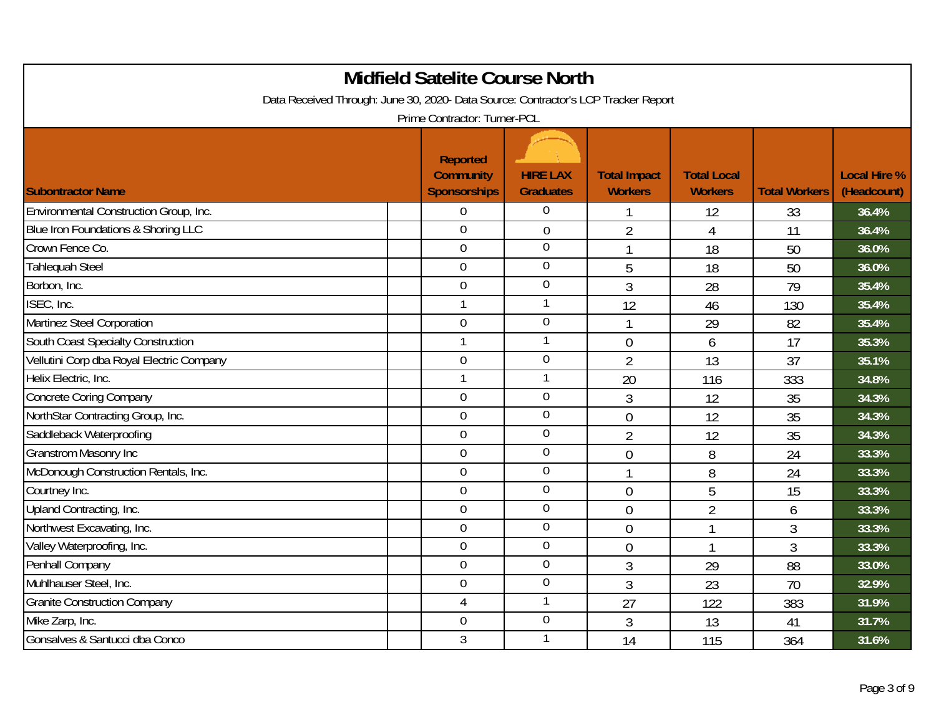| <b>Midfield Satelite Course North</b><br>Data Received Through: June 30, 2020- Data Source: Contractor's LCP Tracker Report<br>Prime Contractor: Turner-PCL |  |                                                     |                                     |                                       |                                      |                      |                                    |  |  |
|-------------------------------------------------------------------------------------------------------------------------------------------------------------|--|-----------------------------------------------------|-------------------------------------|---------------------------------------|--------------------------------------|----------------------|------------------------------------|--|--|
| <b>Subontractor Name</b>                                                                                                                                    |  | Reported<br><b>Community</b><br><b>Sponsorships</b> | <b>HIRE LAX</b><br><b>Graduates</b> | <b>Total Impact</b><br><b>Workers</b> | <b>Total Local</b><br><b>Workers</b> | <b>Total Workers</b> | <b>Local Hire %</b><br>(Headcount) |  |  |
| Environmental Construction Group, Inc.                                                                                                                      |  | $\overline{0}$                                      | $\Omega$                            |                                       | 12                                   | 33                   | 36.4%                              |  |  |
| Blue Iron Foundations & Shoring LLC                                                                                                                         |  | $\overline{0}$                                      | $\overline{0}$                      | $\overline{2}$                        | $\overline{4}$                       | 11                   | 36.4%                              |  |  |
| Crown Fence Co.                                                                                                                                             |  | $\overline{0}$                                      | 0                                   | $\mathbf{1}$                          | 18                                   | 50                   | 36.0%                              |  |  |
| <b>Tahlequah Steel</b>                                                                                                                                      |  | $\overline{0}$                                      | 0                                   | 5                                     | 18                                   | 50                   | 36.0%                              |  |  |
| Borbon, Inc.                                                                                                                                                |  | $\mathbf 0$                                         | $\boldsymbol{0}$                    | 3                                     | 28                                   | 79                   | 35.4%                              |  |  |
| ISEC, Inc.                                                                                                                                                  |  | $\mathbf{1}$                                        | $\mathbf{1}$                        | 12                                    | 46                                   | 130                  | 35.4%                              |  |  |
| Martinez Steel Corporation                                                                                                                                  |  | $\mathbf 0$                                         | $\mathbf 0$                         |                                       | 29                                   | 82                   | 35.4%                              |  |  |
| South Coast Specialty Construction                                                                                                                          |  | $\mathbf{1}$                                        | 1                                   | $\overline{0}$                        | 6                                    | 17                   | 35.3%                              |  |  |
| Vellutini Corp dba Royal Electric Company                                                                                                                   |  | $\overline{0}$                                      | $\mathbf 0$                         | $\overline{2}$                        | 13                                   | 37                   | 35.1%                              |  |  |
| Helix Electric, Inc.                                                                                                                                        |  | $\mathbf{1}$                                        |                                     | 20                                    | 116                                  | 333                  | 34.8%                              |  |  |
| <b>Concrete Coring Company</b>                                                                                                                              |  | $\overline{0}$                                      | $\mathbf 0$                         | 3                                     | 12                                   | 35                   | 34.3%                              |  |  |
| NorthStar Contracting Group, Inc.                                                                                                                           |  | $\overline{0}$                                      | $\overline{0}$                      | $\overline{0}$                        | 12                                   | 35                   | 34.3%                              |  |  |
| Saddleback Waterproofing                                                                                                                                    |  | $\overline{0}$                                      | $\mathbf 0$                         | $\overline{2}$                        | 12                                   | 35                   | 34.3%                              |  |  |
| <b>Granstrom Masonry Inc</b>                                                                                                                                |  | $\mathbf 0$                                         | $\overline{0}$                      | $\overline{0}$                        | 8                                    | 24                   | 33.3%                              |  |  |
| McDonough Construction Rentals, Inc.                                                                                                                        |  | $\overline{0}$                                      | $\boldsymbol{0}$                    |                                       | 8                                    | 24                   | 33.3%                              |  |  |
| Courtney Inc.                                                                                                                                               |  | $\overline{0}$                                      | $\boldsymbol{0}$                    | $\overline{0}$                        | 5                                    | 15                   | 33.3%                              |  |  |
| Upland Contracting, Inc.                                                                                                                                    |  | $\overline{0}$                                      | $\overline{0}$                      | $\overline{0}$                        | $\overline{2}$                       | 6                    | 33.3%                              |  |  |
| Northwest Excavating, Inc.                                                                                                                                  |  | $\mathbf 0$                                         | $\mathbf 0$                         | $\overline{0}$                        |                                      | 3                    | 33.3%                              |  |  |
| Valley Waterproofing, Inc.                                                                                                                                  |  | $\overline{0}$                                      | $\overline{0}$                      | $\mathbf 0$                           | 1                                    | 3                    | 33.3%                              |  |  |
| Penhall Company                                                                                                                                             |  | $\overline{0}$                                      | $\mathbf 0$                         | 3                                     | 29                                   | 88                   | 33.0%                              |  |  |
| Muhlhauser Steel, Inc.                                                                                                                                      |  | $\boldsymbol{0}$                                    | $\mathbf 0$                         | 3                                     | 23                                   | 70                   | 32.9%                              |  |  |
| <b>Granite Construction Company</b>                                                                                                                         |  | $\overline{4}$                                      | $\mathbf{1}$                        | 27                                    | 122                                  | 383                  | 31.9%                              |  |  |
| Mike Zarp, Inc.                                                                                                                                             |  | $\overline{0}$                                      | $\mathbf 0$                         | 3                                     | 13                                   | 41                   | 31.7%                              |  |  |
| Gonsalves & Santucci dba Conco                                                                                                                              |  | 3                                                   | 1                                   | 14                                    | 115                                  | 364                  | 31.6%                              |  |  |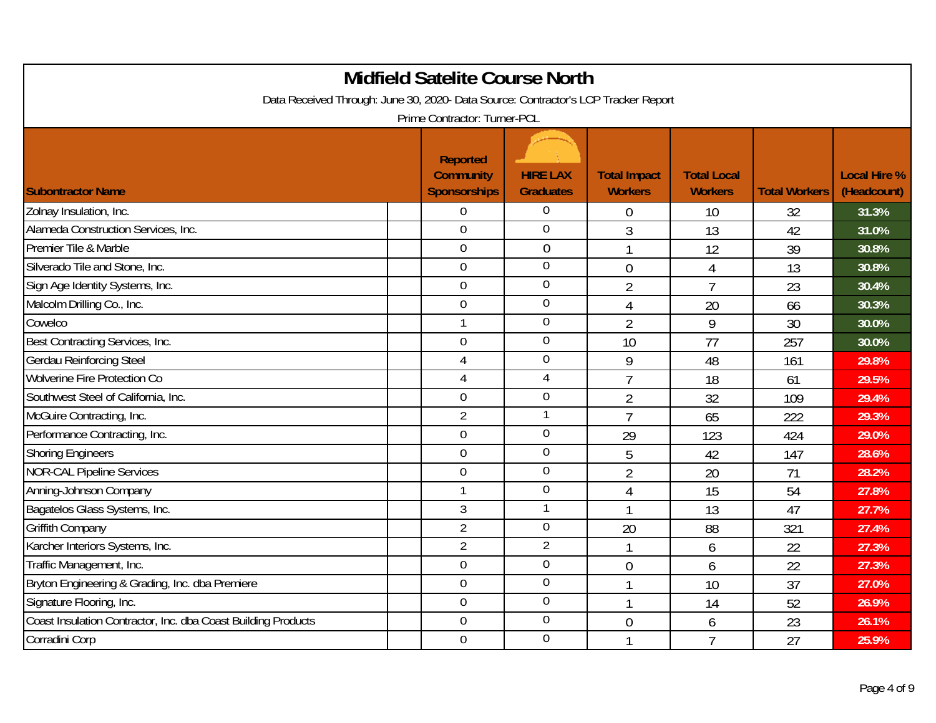| <b>Midfield Satelite Course North</b><br>Data Received Through: June 30, 2020- Data Source: Contractor's LCP Tracker Report<br>Prime Contractor: Turner-PCL |                                                     |                                     |                                       |                                      |                      |                                    |  |  |
|-------------------------------------------------------------------------------------------------------------------------------------------------------------|-----------------------------------------------------|-------------------------------------|---------------------------------------|--------------------------------------|----------------------|------------------------------------|--|--|
| <b>Subontractor Name</b>                                                                                                                                    | Reported<br><b>Community</b><br><b>Sponsorships</b> | <b>HIRE LAX</b><br><b>Graduates</b> | <b>Total Impact</b><br><b>Workers</b> | <b>Total Local</b><br><b>Workers</b> | <b>Total Workers</b> | <b>Local Hire %</b><br>(Headcount) |  |  |
| Zolnay Insulation, Inc.                                                                                                                                     | $\overline{0}$                                      | $\overline{0}$                      | $\theta$                              | 10                                   | 32                   | 31.3%                              |  |  |
| Alameda Construction Services, Inc.                                                                                                                         | $\mathbf 0$                                         | $\overline{0}$                      | 3                                     | 13                                   | 42                   | 31.0%                              |  |  |
| Premier Tile & Marble                                                                                                                                       | $\overline{0}$                                      | $\mathbf 0$                         | $\mathbf{1}$                          | 12                                   | 39                   | 30.8%                              |  |  |
| Silverado Tile and Stone, Inc.                                                                                                                              | $\mathbf 0$                                         | $\overline{0}$                      | $\overline{0}$                        | 4                                    | 13                   | 30.8%                              |  |  |
| Sign Age Identity Systems, Inc.                                                                                                                             | $\boldsymbol{0}$                                    | $\mathbf 0$                         | $\overline{2}$                        | $\overline{7}$                       | 23                   | 30.4%                              |  |  |
| Malcolm Drilling Co., Inc.                                                                                                                                  | $\overline{0}$                                      | $\overline{0}$                      | $\overline{4}$                        | 20                                   | 66                   | 30.3%                              |  |  |
| Cowelco                                                                                                                                                     |                                                     | $\mathbf 0$                         | $\overline{2}$                        | 9                                    | 30                   | 30.0%                              |  |  |
| Best Contracting Services, Inc.                                                                                                                             | $\mathbf 0$                                         | $\mathbf 0$                         | 10                                    | 77                                   | 257                  | 30.0%                              |  |  |
| <b>Gerdau Reinforcing Steel</b>                                                                                                                             | $\overline{4}$                                      | $\mathbf 0$                         | 9                                     | 48                                   | 161                  | 29.8%                              |  |  |
| <b>Wolverine Fire Protection Co</b>                                                                                                                         | $\overline{4}$                                      | $\overline{4}$                      | $\overline{7}$                        | 18                                   | 61                   | 29.5%                              |  |  |
| Southwest Steel of California, Inc.                                                                                                                         | $\mathbf 0$                                         | $\boldsymbol{0}$                    | $\overline{2}$                        | 32                                   | 109                  | 29.4%                              |  |  |
| McGuire Contracting, Inc.                                                                                                                                   | $\overline{2}$                                      | 1                                   | $\overline{7}$                        | 65                                   | 222                  | 29.3%                              |  |  |
| Performance Contracting, Inc.                                                                                                                               | $\overline{0}$                                      | $\mathbf 0$                         | 29                                    | 123                                  | 424                  | 29.0%                              |  |  |
| <b>Shoring Engineers</b>                                                                                                                                    | $\overline{0}$                                      | $\mathbf 0$                         | 5                                     | 42                                   | 147                  | 28.6%                              |  |  |
| <b>NOR-CAL Pipeline Services</b>                                                                                                                            | $\mathbf 0$                                         | $\mathbf 0$                         | $\overline{2}$                        | 20                                   | 71                   | 28.2%                              |  |  |
| Anning-Johnson Company                                                                                                                                      |                                                     | $\overline{0}$                      | 4                                     | 15                                   | 54                   | 27.8%                              |  |  |
| Bagatelos Glass Systems, Inc.                                                                                                                               | $\mathfrak{Z}$                                      | 1                                   | 1                                     | 13                                   | 47                   | 27.7%                              |  |  |
| Griffith Company                                                                                                                                            | $\overline{2}$                                      | $\mathbf 0$                         | 20                                    | 88                                   | 321                  | 27.4%                              |  |  |
| Karcher Interiors Systems, Inc.                                                                                                                             | $\overline{2}$                                      | $\overline{2}$                      |                                       | 6                                    | 22                   | 27.3%                              |  |  |
| Traffic Management, Inc.                                                                                                                                    | $\overline{0}$                                      | $\overline{0}$                      | $\overline{0}$                        | 6                                    | 22                   | 27.3%                              |  |  |
| Bryton Engineering & Grading, Inc. dba Premiere                                                                                                             | $\mathbf 0$                                         | $\mathbf 0$                         |                                       | 10                                   | 37                   | 27.0%                              |  |  |
| Signature Flooring, Inc.                                                                                                                                    | $\mathbf 0$                                         | $\mathbf 0$                         |                                       | 14                                   | 52                   | 26.9%                              |  |  |
| Coast Insulation Contractor, Inc. dba Coast Building Products                                                                                               | $\overline{0}$                                      | $\overline{0}$                      | $\overline{0}$                        | 6                                    | 23                   | 26.1%                              |  |  |
| Corradini Corp                                                                                                                                              | $\mathbf 0$                                         | $\mathbf 0$                         |                                       | 7                                    | 27                   | 25.9%                              |  |  |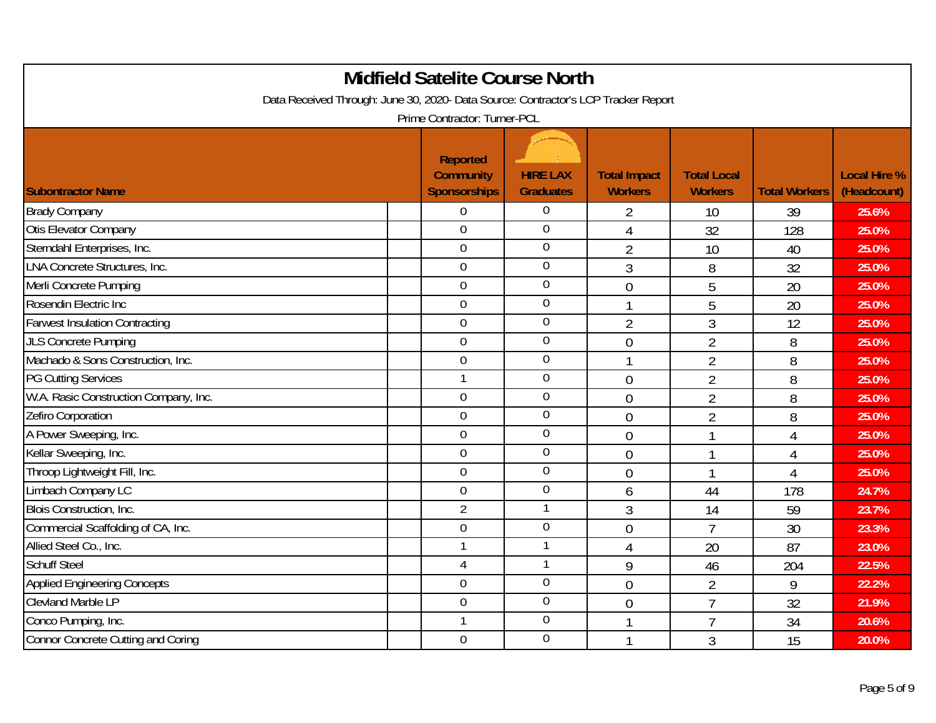| <b>Midfield Satelite Course North</b><br>Data Received Through: June 30, 2020- Data Source: Contractor's LCP Tracker Report<br>Prime Contractor: Turner-PCL |  |                                                     |                                     |                                       |                                      |                      |                                    |  |  |
|-------------------------------------------------------------------------------------------------------------------------------------------------------------|--|-----------------------------------------------------|-------------------------------------|---------------------------------------|--------------------------------------|----------------------|------------------------------------|--|--|
| <b>Subontractor Name</b>                                                                                                                                    |  | Reported<br><b>Community</b><br><b>Sponsorships</b> | <b>HIRE LAX</b><br><b>Graduates</b> | <b>Total Impact</b><br><b>Workers</b> | <b>Total Local</b><br><b>Workers</b> | <b>Total Workers</b> | <b>Local Hire %</b><br>(Headcount) |  |  |
| <b>Brady Company</b>                                                                                                                                        |  | $\overline{0}$                                      | $\overline{0}$                      | 2                                     | 10                                   | 39                   | 25.6%                              |  |  |
| Otis Elevator Company                                                                                                                                       |  | $\mathbf 0$                                         | $\overline{0}$                      | $\overline{4}$                        | 32                                   | 128                  | 25.0%                              |  |  |
| Sterndahl Enterprises, Inc.                                                                                                                                 |  | $\overline{0}$                                      | $\overline{0}$                      | $\overline{2}$                        | 10                                   | 40                   | 25.0%                              |  |  |
| LNA Concrete Structures, Inc.                                                                                                                               |  | $\mathbf 0$                                         | $\mathbf 0$                         | 3                                     | 8                                    | 32                   | 25.0%                              |  |  |
| Merli Concrete Pumping                                                                                                                                      |  | $\mathbf 0$                                         | $\mathbf 0$                         | $\overline{0}$                        | 5                                    | 20                   | 25.0%                              |  |  |
| Rosendin Electric Inc                                                                                                                                       |  | $\overline{0}$                                      | $\mathbf 0$                         | $\mathbf{1}$                          | 5                                    | 20                   | 25.0%                              |  |  |
| <b>Farwest Insulation Contracting</b>                                                                                                                       |  | $\overline{0}$                                      | $\mathbf 0$                         | $\overline{2}$                        | 3                                    | 12                   | 25.0%                              |  |  |
| <b>JLS Concrete Pumping</b>                                                                                                                                 |  | $\mathbf 0$                                         | $\mathbf 0$                         | $\overline{0}$                        | $\overline{2}$                       | 8                    | 25.0%                              |  |  |
| Machado & Sons Construction, Inc.                                                                                                                           |  | $\overline{0}$                                      | $\overline{0}$                      | $\mathbf{1}$                          | $\overline{2}$                       | 8                    | 25.0%                              |  |  |
| <b>PG Cutting Services</b>                                                                                                                                  |  |                                                     | $\boldsymbol{0}$                    | $\overline{0}$                        | $\overline{2}$                       | 8                    | 25.0%                              |  |  |
| W.A. Rasic Construction Company, Inc.                                                                                                                       |  | $\mathbf 0$                                         | $\mathbf 0$                         | $\overline{0}$                        | $\overline{2}$                       | 8                    | 25.0%                              |  |  |
| Zefiro Corporation                                                                                                                                          |  | $\overline{0}$                                      | $\overline{0}$                      | $\overline{0}$                        | $\overline{2}$                       | 8                    | 25.0%                              |  |  |
| A Power Sweeping, Inc.                                                                                                                                      |  | $\overline{0}$                                      | $\overline{0}$                      | $\overline{0}$                        |                                      | $\overline{4}$       | 25.0%                              |  |  |
| Kellar Sweeping, Inc.                                                                                                                                       |  | $\overline{0}$                                      | $\overline{0}$                      | $\overline{0}$                        | 1                                    | $\overline{4}$       | 25.0%                              |  |  |
| Throop Lightweight Fill, Inc.                                                                                                                               |  | $\mathbf 0$                                         | $\overline{0}$                      | $\overline{0}$                        |                                      | $\overline{4}$       | 25.0%                              |  |  |
| Limbach Company LC                                                                                                                                          |  | $\overline{0}$                                      | $\overline{0}$                      | 6                                     | 44                                   | 178                  | 24.7%                              |  |  |
| Blois Construction, Inc.                                                                                                                                    |  | $\overline{2}$                                      | 1                                   | 3                                     | 14                                   | 59                   | 23.7%                              |  |  |
| Commercial Scaffolding of CA, Inc.                                                                                                                          |  | $\mathbf 0$                                         | $\mathbf 0$                         | $\overline{0}$                        | $\overline{7}$                       | 30                   | 23.3%                              |  |  |
| Allied Steel Co., Inc.                                                                                                                                      |  |                                                     | 1                                   | 4                                     | 20                                   | 87                   | 23.0%                              |  |  |
| <b>Schuff Steel</b>                                                                                                                                         |  | $\overline{4}$                                      | $\mathbf{1}$                        | 9                                     | 46                                   | 204                  | 22.5%                              |  |  |
| <b>Applied Engineering Concepts</b>                                                                                                                         |  | $\mathbf 0$                                         | $\boldsymbol{0}$                    | $\overline{0}$                        | $\overline{2}$                       | 9                    | 22.2%                              |  |  |
| <b>Clevland Marble LP</b>                                                                                                                                   |  | $\mathbf 0$                                         | $\mathbf 0$                         | $\overline{0}$                        | $\overline{7}$                       | 32                   | 21.9%                              |  |  |
| Conco Pumping, Inc.                                                                                                                                         |  |                                                     | $\mathbf 0$                         | r                                     | $\overline{7}$                       | 34                   | 20.6%                              |  |  |
| <b>Connor Concrete Cutting and Coring</b>                                                                                                                   |  | $\mathbf 0$                                         | $\mathbf 0$                         |                                       | 3                                    | 15                   | 20.0%                              |  |  |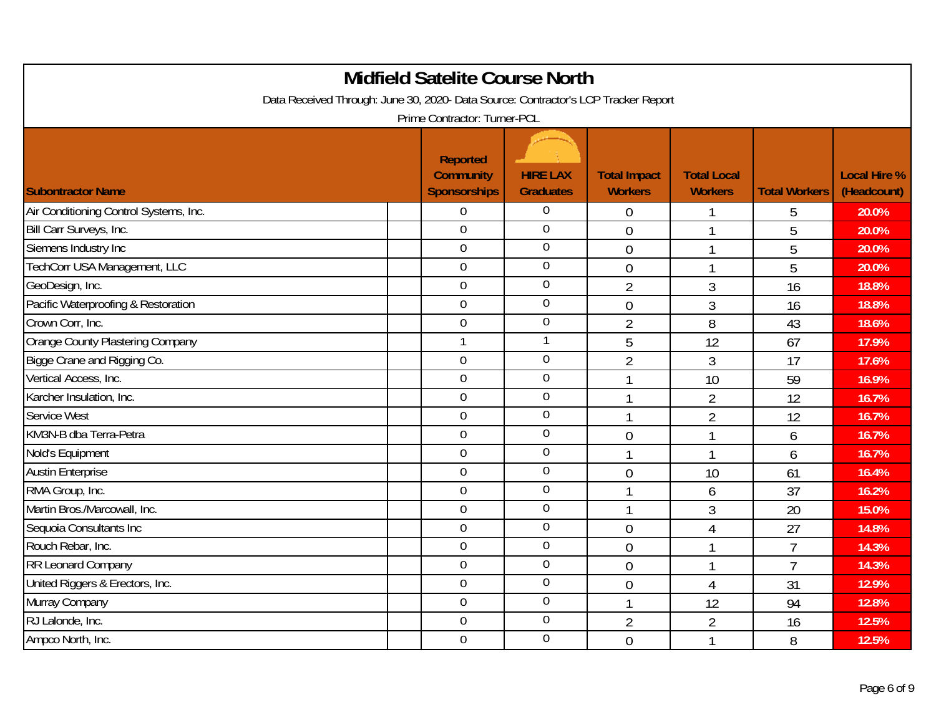| <b>Midfield Satelite Course North</b><br>Data Received Through: June 30, 2020- Data Source: Contractor's LCP Tracker Report<br>Prime Contractor: Turner-PCL |  |                                                     |                                     |                                       |                                      |                      |                                    |  |  |
|-------------------------------------------------------------------------------------------------------------------------------------------------------------|--|-----------------------------------------------------|-------------------------------------|---------------------------------------|--------------------------------------|----------------------|------------------------------------|--|--|
| <b>Subontractor Name</b>                                                                                                                                    |  | Reported<br><b>Community</b><br><b>Sponsorships</b> | <b>HIRE LAX</b><br><b>Graduates</b> | <b>Total Impact</b><br><b>Workers</b> | <b>Total Local</b><br><b>Workers</b> | <b>Total Workers</b> | <b>Local Hire %</b><br>(Headcount) |  |  |
| Air Conditioning Control Systems, Inc.                                                                                                                      |  | $\overline{0}$                                      | $\overline{0}$                      | $\theta$                              |                                      | 5                    | 20.0%                              |  |  |
| Bill Carr Surveys, Inc.                                                                                                                                     |  | $\mathbf 0$                                         | $\overline{0}$                      | $\overline{0}$                        | 1                                    | 5                    | 20.0%                              |  |  |
| Siemens Industry Inc                                                                                                                                        |  | $\overline{0}$                                      | $\overline{0}$                      | $\overline{0}$                        | 1                                    | 5                    | 20.0%                              |  |  |
| TechCorr USA Management, LLC                                                                                                                                |  | $\mathbf 0$                                         | $\mathbf 0$                         | $\overline{0}$                        |                                      | 5                    | 20.0%                              |  |  |
| GeoDesign, Inc.                                                                                                                                             |  | $\mathbf 0$                                         | $\mathbf 0$                         | $\overline{2}$                        | 3                                    | 16                   | 18.8%                              |  |  |
| Pacific Waterproofing & Restoration                                                                                                                         |  | $\overline{0}$                                      | $\mathbf 0$                         | $\overline{0}$                        | 3                                    | 16                   | 18.8%                              |  |  |
| Crown Corr, Inc.                                                                                                                                            |  | $\overline{0}$                                      | $\mathbf 0$                         | $\overline{2}$                        | 8                                    | 43                   | 18.6%                              |  |  |
| Orange County Plastering Company                                                                                                                            |  | $\mathbf{1}$                                        | 1                                   | 5                                     | 12                                   | 67                   | 17.9%                              |  |  |
| Bigge Crane and Rigging Co.                                                                                                                                 |  | $\overline{0}$                                      | $\overline{0}$                      | $\overline{2}$                        | 3                                    | 17                   | 17.6%                              |  |  |
| Vertical Access, Inc.                                                                                                                                       |  | $\overline{0}$                                      | $\boldsymbol{0}$                    |                                       | 10                                   | 59                   | 16.9%                              |  |  |
| Karcher Insulation, Inc.                                                                                                                                    |  | $\mathbf 0$                                         | $\mathbf 0$                         | $\mathbf{1}$                          | $\overline{2}$                       | 12                   | 16.7%                              |  |  |
| <b>Service West</b>                                                                                                                                         |  | $\overline{0}$                                      | $\overline{0}$                      | $\mathbf{1}$                          | $\overline{2}$                       | 12                   | 16.7%                              |  |  |
| KM3N-B dba Terra-Petra                                                                                                                                      |  | $\overline{0}$                                      | $\overline{0}$                      | $\overline{0}$                        |                                      | 6                    | 16.7%                              |  |  |
| Nold's Equipment                                                                                                                                            |  | $\overline{0}$                                      | $\mathbf 0$                         | $\mathbf{1}$                          | 1                                    | 6                    | 16.7%                              |  |  |
| <b>Austin Enterprise</b>                                                                                                                                    |  | $\mathbf 0$                                         | $\overline{0}$                      | $\overline{0}$                        | 10                                   | 61                   | 16.4%                              |  |  |
| RMA Group, Inc.                                                                                                                                             |  | $\overline{0}$                                      | $\overline{0}$                      | $\mathbf{1}$                          | 6                                    | 37                   | 16.2%                              |  |  |
| Martin Bros./Marcowall, Inc.                                                                                                                                |  | $\overline{0}$                                      | $\overline{0}$                      | $\mathbf{1}$                          | 3                                    | 20                   | 15.0%                              |  |  |
| Sequoia Consultants Inc                                                                                                                                     |  | $\mathbf 0$                                         | $\mathbf 0$                         | $\overline{0}$                        | 4                                    | 27                   | 14.8%                              |  |  |
| Rouch Rebar, Inc.                                                                                                                                           |  | $\overline{0}$                                      | $\mathbf 0$                         | $\overline{0}$                        | 1                                    | $\overline{7}$       | 14.3%                              |  |  |
| <b>RR Leonard Company</b>                                                                                                                                   |  | $\mathbf 0$                                         | $\boldsymbol{0}$                    | $\overline{0}$                        |                                      | $\overline{7}$       | 14.3%                              |  |  |
| United Riggers & Erectors, Inc.                                                                                                                             |  | $\mathbf 0$                                         | $\boldsymbol{0}$                    | $\overline{0}$                        | 4                                    | 31                   | 12.9%                              |  |  |
| Murray Company                                                                                                                                              |  | $\mathbf 0$                                         | $\boldsymbol{0}$                    | $\mathbf{1}$                          | 12                                   | 94                   | 12.8%                              |  |  |
| RJ Lalonde, Inc.                                                                                                                                            |  | $\overline{0}$                                      | $\mathbf 0$                         | $\overline{2}$                        | $\overline{2}$                       | 16                   | 12.5%                              |  |  |
| Ampco North, Inc.                                                                                                                                           |  | $\mathbf 0$                                         | $\mathbf 0$                         | $\overline{0}$                        |                                      | 8                    | 12.5%                              |  |  |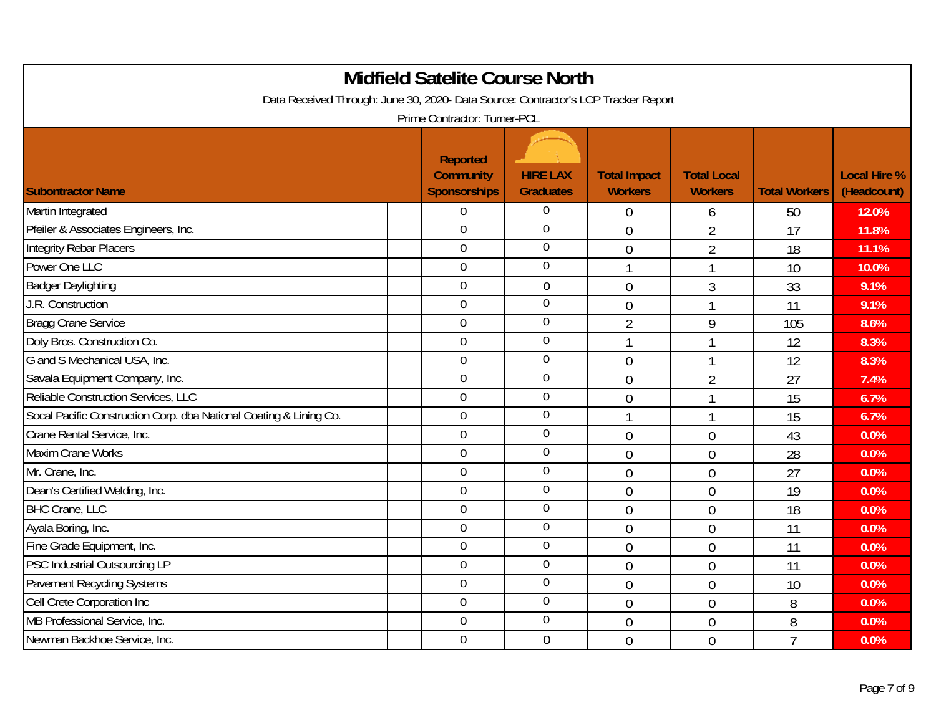| Data Received Through: June 30, 2020- Data Source: Contractor's LCP Tracker Report | <b>Midfield Satelite Course North</b>               |                                     |                                       |                                      |                      |                                    |
|------------------------------------------------------------------------------------|-----------------------------------------------------|-------------------------------------|---------------------------------------|--------------------------------------|----------------------|------------------------------------|
|                                                                                    | Prime Contractor: Turner-PCL                        |                                     |                                       |                                      |                      |                                    |
| <b>Subontractor Name</b>                                                           | Reported<br><b>Community</b><br><b>Sponsorships</b> | <b>HIRE LAX</b><br><b>Graduates</b> | <b>Total Impact</b><br><b>Workers</b> | <b>Total Local</b><br><b>Workers</b> | <b>Total Workers</b> | <b>Local Hire %</b><br>(Headcount) |
| Martin Integrated                                                                  | $\overline{0}$                                      | $\overline{0}$                      | $\overline{0}$                        | 6                                    | 50                   | 12.0%                              |
| Pfeiler & Associates Engineers, Inc.                                               | $\overline{0}$                                      | $\mathbf 0$                         | $\overline{0}$                        | $\overline{2}$                       | 17                   | 11.8%                              |
| Integrity Rebar Placers                                                            | $\overline{0}$                                      | $\mathbf 0$                         | $\overline{0}$                        | $\overline{2}$                       | 18                   | 11.1%                              |
| Power One LLC                                                                      | $\mathbf 0$                                         | $\boldsymbol{0}$                    | 1                                     |                                      | 10                   | 10.0%                              |
| <b>Badger Daylighting</b>                                                          | $\mathbf 0$                                         | $\boldsymbol{0}$                    | $\overline{0}$                        | $\mathfrak{Z}$                       | 33                   | 9.1%                               |
| J.R. Construction                                                                  | $\overline{0}$                                      | $\overline{0}$                      | $\overline{0}$                        |                                      | 11                   | 9.1%                               |
| <b>Bragg Crane Service</b>                                                         | $\overline{0}$                                      | $\overline{0}$                      | $\overline{2}$                        | 9                                    | 105                  | 8.6%                               |
| Doty Bros. Construction Co.                                                        | $\mathbf 0$                                         | $\mathbf 0$                         | 1                                     |                                      | 12                   | 8.3%                               |
| G and S Mechanical USA, Inc.                                                       | $\overline{0}$                                      | $\overline{0}$                      | $\overline{0}$                        |                                      | 12                   | 8.3%                               |
| Savala Equipment Company, Inc.                                                     | $\mathbf 0$                                         | $\boldsymbol{0}$                    | $\overline{0}$                        | 2                                    | 27                   | 7.4%                               |
| Reliable Construction Services, LLC                                                | $\boldsymbol{0}$                                    | $\mathbf 0$                         | $\overline{0}$                        | 1                                    | 15                   | 6.7%                               |
| Socal Pacific Construction Corp. dba National Coating & Lining Co.                 | $\overline{0}$                                      | $\mathbf 0$                         | 1                                     | 1                                    | 15                   | 6.7%                               |
| Crane Rental Service, Inc.                                                         | $\overline{0}$                                      | $\mathbf 0$                         | $\overline{0}$                        | $\overline{0}$                       | 43                   | 0.0%                               |
| Maxim Crane Works                                                                  | $\overline{0}$                                      | $\mathbf 0$                         | $\overline{0}$                        | $\overline{0}$                       | 28                   | 0.0%                               |
| Mr. Crane, Inc.                                                                    | $\overline{0}$                                      | $\mathbf 0$                         | $\overline{0}$                        | $\mathbf 0$                          | 27                   | 0.0%                               |
| Dean's Certified Welding, Inc.                                                     | $\overline{0}$                                      | $\overline{0}$                      | $\overline{0}$                        | $\overline{0}$                       | 19                   | 0.0%                               |
| <b>BHC Crane, LLC</b>                                                              | $\overline{0}$                                      | $\overline{0}$                      | $\overline{0}$                        | $\overline{0}$                       | 18                   | 0.0%                               |
| Ayala Boring, Inc.                                                                 | $\mathbf 0$                                         | $\mathbf 0$                         | $\overline{0}$                        | $\overline{0}$                       | 11                   | 0.0%                               |
| Fine Grade Equipment, Inc.                                                         | $\overline{0}$                                      | $\overline{0}$                      | $\overline{0}$                        | $\overline{0}$                       | 11                   | 0.0%                               |
| PSC Industrial Outsourcing LP                                                      | $\overline{0}$                                      | $\mathbf 0$                         | $\overline{0}$                        | $\overline{0}$                       | 11                   | 0.0%                               |
| <b>Pavement Recycling Systems</b>                                                  | $\overline{0}$                                      | $\mathbf 0$                         | $\overline{0}$                        | $\overline{0}$                       | 10                   | 0.0%                               |
| Cell Crete Corporation Inc                                                         | $\overline{0}$                                      | $\mathbf 0$                         | $\overline{0}$                        | $\overline{0}$                       | 8                    | 0.0%                               |
| MB Professional Service, Inc.                                                      | $\mathbf 0$                                         | $\overline{0}$                      | $\overline{0}$                        | $\overline{0}$                       | 8                    | 0.0%                               |
| Newman Backhoe Service, Inc.                                                       | $\mathbf 0$                                         | $\theta$                            | $\overline{0}$                        | $\theta$                             | $\overline{7}$       | 0.0%                               |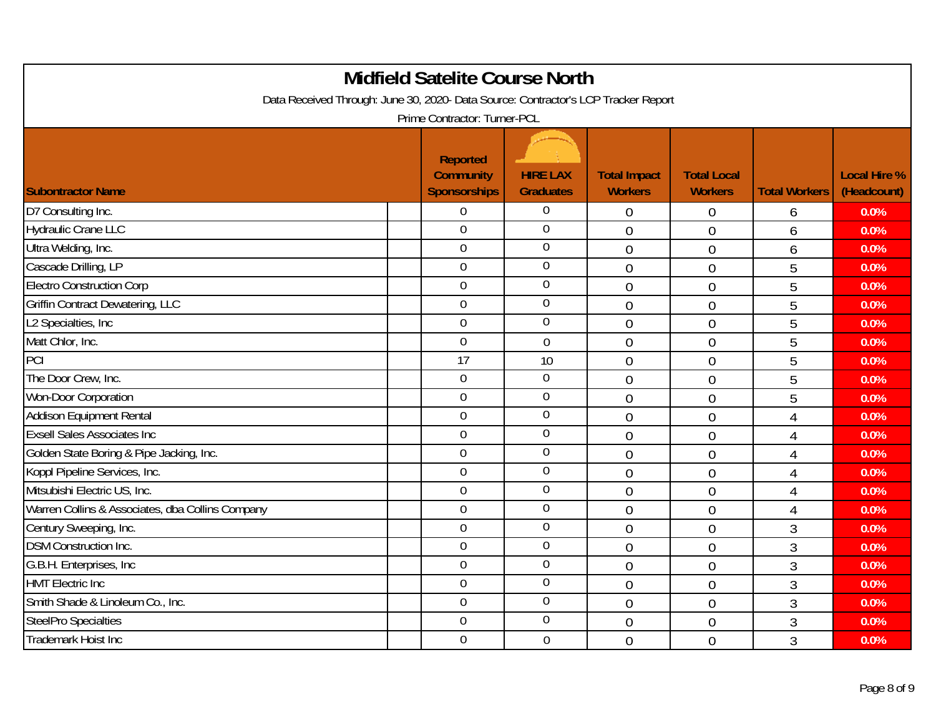|                                                                                    | <b>Midfield Satelite Course North</b>                      |                                     |                                       |                                      |                      |                                    |
|------------------------------------------------------------------------------------|------------------------------------------------------------|-------------------------------------|---------------------------------------|--------------------------------------|----------------------|------------------------------------|
| Data Received Through: June 30, 2020- Data Source: Contractor's LCP Tracker Report |                                                            |                                     |                                       |                                      |                      |                                    |
|                                                                                    | Prime Contractor: Turner-PCL                               |                                     |                                       |                                      |                      |                                    |
| <b>Subontractor Name</b>                                                           | <b>Reported</b><br><b>Community</b><br><b>Sponsorships</b> | <b>HIRE LAX</b><br><b>Graduates</b> | <b>Total Impact</b><br><b>Workers</b> | <b>Total Local</b><br><b>Workers</b> | <b>Total Workers</b> | <b>Local Hire %</b><br>(Headcount) |
| D7 Consulting Inc.                                                                 | $\overline{0}$                                             | $\overline{0}$                      | $\overline{0}$                        | $\overline{0}$                       | 6                    | 0.0%                               |
| <b>Hydraulic Crane LLC</b>                                                         | $\mathbf 0$                                                | $\mathbf 0$                         | $\overline{0}$                        | $\overline{0}$                       | 6                    | 0.0%                               |
| Ultra Welding, Inc.                                                                | $\overline{0}$                                             | $\mathbf 0$                         | $\overline{0}$                        | $\overline{0}$                       | 6                    | 0.0%                               |
| Cascade Drilling, LP                                                               | $\mathbf 0$                                                | $\boldsymbol{0}$                    | $\overline{0}$                        | $\overline{0}$                       | 5                    | 0.0%                               |
| <b>Electro Construction Corp</b>                                                   | $\boldsymbol{0}$                                           | $\mathbf 0$                         | $\overline{0}$                        | $\overline{0}$                       | 5                    | 0.0%                               |
| <b>Griffin Contract Dewatering, LLC</b>                                            | $\overline{0}$                                             | $\mathbf 0$                         | $\overline{0}$                        | $\overline{0}$                       | 5                    | 0.0%                               |
| L2 Specialties, Inc                                                                | $\overline{0}$                                             | $\mathbf 0$                         | $\overline{0}$                        | $\overline{0}$                       | 5                    | 0.0%                               |
| Matt Chlor, Inc.                                                                   | $\mathbf 0$                                                | $\overline{0}$                      | $\overline{0}$                        | $\overline{0}$                       | 5                    | 0.0%                               |
| PCI                                                                                | 17                                                         | 10                                  | $\mathbf 0$                           | $\overline{0}$                       | 5                    | 0.0%                               |
| The Door Crew, Inc.                                                                | $\mathbf 0$                                                | $\boldsymbol{0}$                    | $\overline{0}$                        | $\overline{0}$                       | 5                    | 0.0%                               |
| Won-Door Corporation                                                               | $\mathbf 0$                                                | $\mathbf 0$                         | $\overline{0}$                        | $\overline{0}$                       | 5                    | 0.0%                               |
| Addison Equipment Rental                                                           | $\overline{0}$                                             | $\mathbf 0$                         | $\overline{0}$                        | $\overline{0}$                       | $\overline{4}$       | 0.0%                               |
| <b>Exsell Sales Associates Inc</b>                                                 | $\mathbf 0$                                                | $\mathbf 0$                         | $\overline{0}$                        | $\overline{0}$                       | $\overline{4}$       | 0.0%                               |
| Golden State Boring & Pipe Jacking, Inc.                                           | $\overline{0}$                                             | $\mathbf 0$                         | $\overline{0}$                        | $\overline{0}$                       | $\overline{4}$       | 0.0%                               |
| Koppl Pipeline Services, Inc.                                                      | $\mathbf 0$                                                | $\mathbf 0$                         | $\overline{0}$                        | $\overline{0}$                       | $\overline{4}$       | 0.0%                               |
| Mitsubishi Electric US, Inc.                                                       | $\overline{0}$                                             | $\overline{0}$                      | $\overline{0}$                        | $\overline{0}$                       | $\overline{4}$       | 0.0%                               |
| Warren Collins & Associates, dba Collins Company                                   | $\mathbf 0$                                                | $\overline{0}$                      | $\overline{0}$                        | $\overline{0}$                       | $\overline{4}$       | 0.0%                               |
| Century Sweeping, Inc.                                                             | $\mathbf 0$                                                | $\mathbf 0$                         | $\overline{0}$                        | $\overline{0}$                       | $\mathfrak{Z}$       | 0.0%                               |
| <b>DSM Construction Inc.</b>                                                       | $\mathbf 0$                                                | $\overline{0}$                      | $\overline{0}$                        | $\overline{0}$                       | $\mathfrak{Z}$       | 0.0%                               |
| G.B.H. Enterprises, Inc.                                                           | $\overline{0}$                                             | $\mathbf 0$                         | $\overline{0}$                        | $\overline{0}$                       | $\mathfrak{Z}$       | 0.0%                               |
| <b>HMT Electric Inc</b>                                                            | $\mathbf 0$                                                | $\mathbf 0$                         | $\overline{0}$                        | $\overline{0}$                       | $\mathfrak{Z}$       | 0.0%                               |
| Smith Shade & Linoleum Co., Inc.                                                   | $\overline{0}$                                             | $\mathbf 0$                         | $\overline{0}$                        | $\overline{0}$                       | $\mathfrak{Z}$       | 0.0%                               |
| <b>SteelPro Specialties</b>                                                        | $\mathbf 0$                                                | $\mathbf 0$                         | $\overline{0}$                        | $\overline{0}$                       | $\mathfrak{Z}$       | 0.0%                               |
| <b>Trademark Hoist Inc</b>                                                         | $\overline{0}$                                             | $\mathbf 0$                         | $\overline{0}$                        | $\overline{0}$                       | 3                    | 0.0%                               |